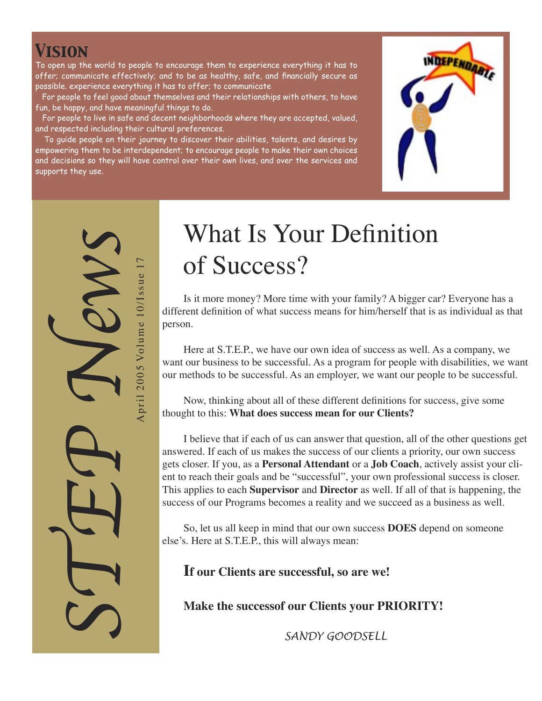## *Vision*

To open up the world to people to encourage them to experience everything it has to offer; communicate effectively; and to be as healthy, safe, and financially secure as possible. experience everything it has to offer; to communicate

 For people to feel good about themselves and their relationships with others, to have fun, be happy, and have meaningful things to do.

 For people to live in safe and decent neighborhoods where they are accepted, valued, and respected including their cultural preferences.

 To guide people on their journey to discover their abilities, talents, and desires by empowering them to be interdependent; to encourage people to make their own choices and decisions so they will have control over their own lives, and over the services and supports they use.



STEP News April 2005 Volume 10/Issue 17 April 2005 Volume 10/Issue 1

# What Is Your Definition of Success?

Is it more money? More time with your family? A bigger car? Everyone has a different definition of what success means for him/herself that is as individual as that person.

Here at S.T.E.P., we have our own idea of success as well. As a company, we want our business to be successful. As a program for people with disabilities, we want our methods to be successful. As an employer, we want our people to be successful.

Now, thinking about all of these different definitions for success, give some thought to this: **What does success mean for our Clients?** 

I believe that if each of us can answer that question, all of the other questions get answered. If each of us makes the success of our clients a priority, our own success gets closer. If you, as a **Personal Attendant** or a **Job Coach**, actively assist your client to reach their goals and be "successful", your own professional success is closer. This applies to each **Supervisor** and **Director** as well. If all of that is happening, the success of our Programs becomes a reality and we succeed as a business as well.

So, let us all keep in mind that our own success **DOES** depend on someone else's. Here at S.T.E.P., this will always mean:

**If our Clients are successful, so are we!**

**Make the successof our Clients your PRIORITY!**

 *SANDY GOODSELL*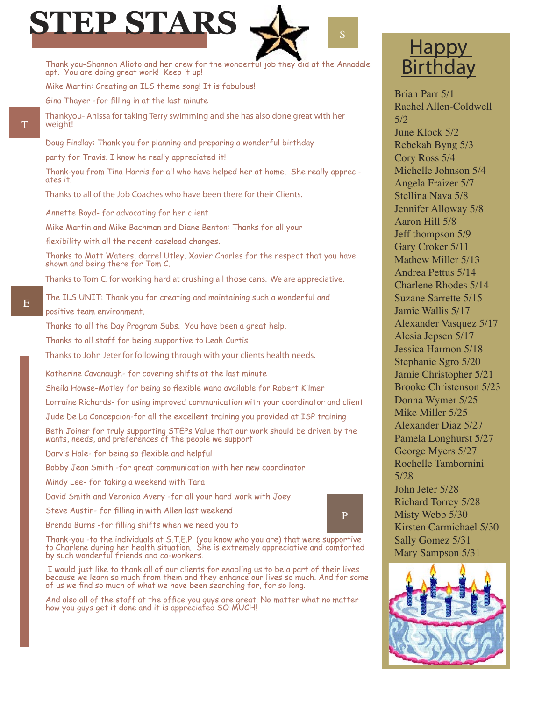

Thank you-Shannon Alioto and her crew for the wonderful job they did at the Annadale apt. You are doing great work! Keep it up! Mike Martin: Creating an ILS theme song! It is fabulous!

Gina Thayer -for filling in at the last minute

*Thankyou- Anissa for taking Terry swimming and she has also done great with her weight!*

Doug Findlay: Thank you for planning and preparing a wonderful birthday

party for Travis. I know he really appreciated it!

Thank-you from Tina Harris for all who have helped her at home. She really appreciates it.

*Thanks to all of the Job Coaches who have been there for their Clients.*

Annette Boyd- for advocating for her client

Mike Martin and Mike Bachman and Diane Benton: Thanks for all your

flexibility with all the recent caseload changes.

Thanks to Matt Waters, darrel Utley, Xavier Charles for the respect that you have shown and being there for Tom C.

*Thanks to Tom C. for working hard at crushing all those cans. We are appreciative.*

The ILS UNIT: Thank you for creating and maintaining such a wonderful and positive team environment.

Thanks to all the Day Program Subs. You have been a great help.

Thanks to all staff for being supportive to Leah Curtis

*Thanks to John Jeter for following through with your clients health needs.*

Katherine Cavanaugh- for covering shifts at the last minute

Sheila Howse-Motley for being so flexible wand available for Robert Kilmer

Lorraine Richards- for using improved communication with your coordinator and client

Jude De La Concepcion-for all the excellent training you provided at ISP training

Beth Joiner for truly supporting STEPs Value that our work should be driven by the wants, needs, and preferences of the people we support

Darvis Hale- for being so flexible and helpful

- Bobby Jean Smith -for great communication with her new coordinator
- Mindy Lee- for taking a weekend with Tara
- David Smith and Veronica Avery -for all your hard work with Joey
- Steve Austin- for filling in with Allen last weekend
- Brenda Burns -for filling shifts when we need you to

P

Thank-you -to the individuals at S.T.E.P. (you know who you are) that were supportive to Charlene during her health situation. She is extremely appreciative and comforted by such wonderful friends and co-workers.

 I would just like to thank all of our clients for enabling us to be a part of their lives because we learn so much from them and they enhance our lives so much. And for some of us we find so much of what we have been searching for, for so long.

And also all of the staff at the office you guys are great. No matter what no matter how you guys get it done and it is appreciated SO MUCH!

# **Happy Birthday**

Brian Parr 5/1 Rachel Allen-Coldwell  $5/2$ June Klock 5/2 Rebekah Byng 5/3 Cory Ross 5/4 Michelle Johnson 5/4 Angela Fraizer 5/7 Stellina Nava 5/8 Jennifer Alloway 5/8 Aaron Hill 5/8 Jeff thompson 5/9 Gary Croker 5/11 Mathew Miller 5/13 Andrea Pettus 5/14 Charlene Rhodes 5/14 Suzane Sarrette 5/15 Jamie Wallis 5/17 Alexander Vasquez 5/17 Alesia Jepsen 5/17 Jessica Harmon 5/18 Stephanie Sgro 5/20 Jamie Christopher 5/21 Brooke Christenson 5/23 Donna Wymer 5/25 Mike Miller 5/25 Alexander Diaz 5/27 Pamela Longhurst 5/27 George Myers 5/27 Rochelle Tambornini 5/28 John Jeter 5/28 Richard Torrey 5/28 Misty Webb 5/30 Kirsten Carmichael 5/30 Sally Gomez 5/31 Mary Sampson 5/31



T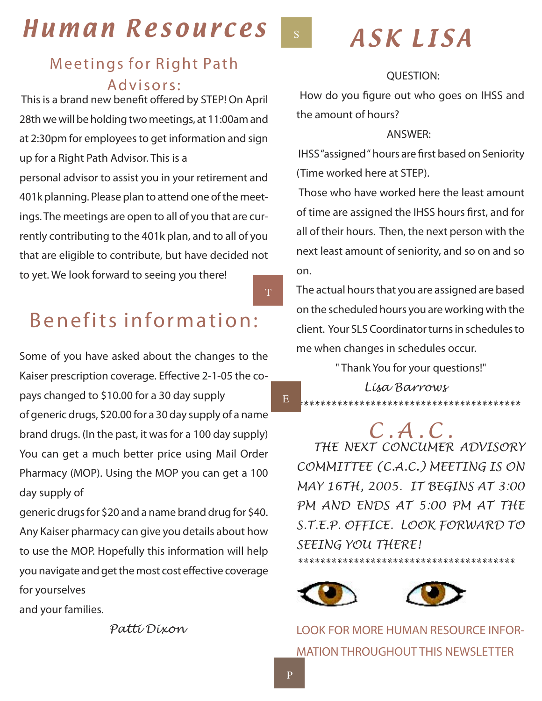# Human Resources

## Meetings for Right Path Advisors:

 *This is a brand new benefit offered by STEP! On April 28th we will be holding two meetings, at 11:00am and at 2:30pm for employees to get information and sign up for a Right Path Advisor. This is a personal advisor to assist you in your retirement and* 

*401k planning. Please plan to attend one of the meetings. The meetings are open to all of you that are currently contributing to the 401k plan, and to all of you that are eligible to contribute, but have decided not to yet. We look forward to seeing you there!* 

# Benefits information:

*Some of you have asked about the changes to the Kaiser prescription coverage. Effective 2-1-05 the copays changed to \$10.00 for a 30 day supply of generic drugs, \$20.00 for a 30 day supply of a name brand drugs. (In the past, it was for a 100 day supply) You can get a much better price using Mail Order Pharmacy (MOP). Using the MOP you can get a 100 day supply of*

*generic drugs for \$20 and a name brand drug for \$40. Any Kaiser pharmacy can give you details about how to use the MOP. Hopefully this information will help you navigate and get the most cost effective coverage for yourselves*

*and your families.*

 *Patti Dixon*

 $S^{\dagger}$ 

T

E

# ASK LISA

#### *QUESTION:*

 *How do you figure out who goes on IHSS and the amount of hours?*

#### *ANSWER:*

 *IHSS "assigned " hours are first based on Seniority (Time worked here at STEP).*

 *Those who have worked here the least amount of time are assigned the IHSS hours first, and for all of their hours. Then, the next person with the next least amount of seniority, and so on and so on.*

*The actual hours that you are assigned are based on the scheduled hours you are working with the client. Your SLS Coordinator turns in schedules to me when changes in schedules occur.*

 *" Thank You for your questions!"*

 *Lisa Barrows \*\*\*\*\*\*\*\*\*\*\*\*\*\*\*\*\*\*\*\*\*\*\*\*\*\*\*\*\*\*\*\*\*\*\*\*\*\*\*\* C . A . C . THE NEXT CONCUMER ADVISORY COMMITTEE (C.A.C.) MEETING IS ON MAY 16TH, 2005. IT BEGINS AT 3:00 PM AND ENDS AT 5:00 PM AT THE S.T.E.P. OFFICE. LOOK FORWARD TO SEEING YOU THERE!*





LOOK FOR MORE HUMAN RESOURCE INFOR-MATION THROUGHOUT THIS NEWSLETTER

*\*\*\*\*\*\*\*\*\*\*\*\*\*\*\*\*\*\*\*\*\*\*\*\*\*\*\*\*\*\*\*\*\*\*\*\*\*\*\**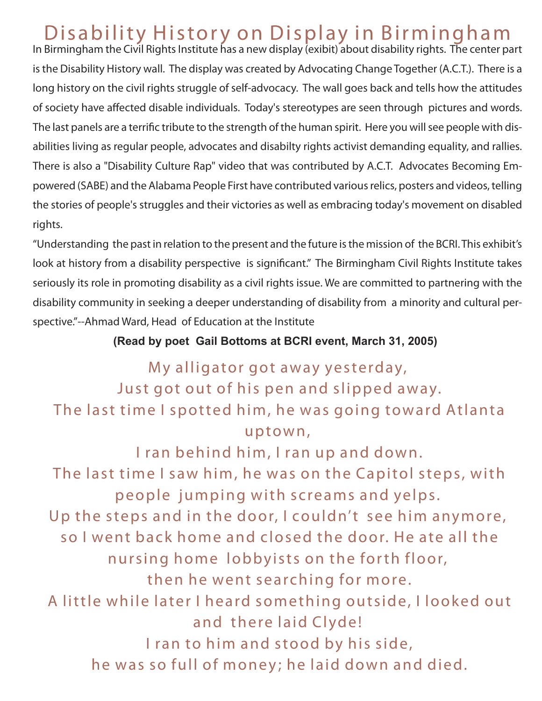# Disability History on Display in Birmingham

*In Birmingham the Civil Rights Institute has a new display (exibit) about disability rights. The center part is the Disability History wall. The display was created by Advocating Change Together (A.C.T.). There is a long history on the civil rights struggle of self-advocacy. The wall goes back and tells how the attitudes of society have affected disable individuals. Today's stereotypes are seen through pictures and words. The last panels are a terrific tribute to the strength of the human spirit. Here you will see people with disabilities living as regular people, advocates and disabilty rights activist demanding equality, and rallies. There is also a "Disability Culture Rap" video that was contributed by A.C.T. Advocates Becoming Empowered (SABE) and the Alabama People First have contributed various relics, posters and videos, telling the stories of people's struggles and their victories as well as embracing today's movement on disabled rights.*

*"Understanding the past in relation to the present and the future is the mission of the BCRI. This exhibit's look at history from a disability perspective is significant." The Birmingham Civil Rights Institute takes seriously its role in promoting disability as a civil rights issue. We are committed to partnering with the disability community in seeking a deeper understanding of disability from a minority and cultural perspective."--Ahmad Ward, Head of Education at the Institute*

## **(Read by poet Gail Bottoms at BCRI event, March 31, 2005)**

# My alligator got away yesterday, Just got out of his pen and slipped away. The last time I spotted him, he was going toward Atlanta u p tow n ,

I ran behind him, I ran up and down. The last time I saw him, he was on the Capitol steps, with people jumping with screams and yelps. Up the steps and in the door, I couldn't see him anymore, so I went back home and closed the door. He ate all the nursing home lobbyists on the forth floor, then he went searching for more. A little while later I heard something outside, I looked out and there laid Clyde! I ran to him and stood by his side, he was so full of money; he laid down and died.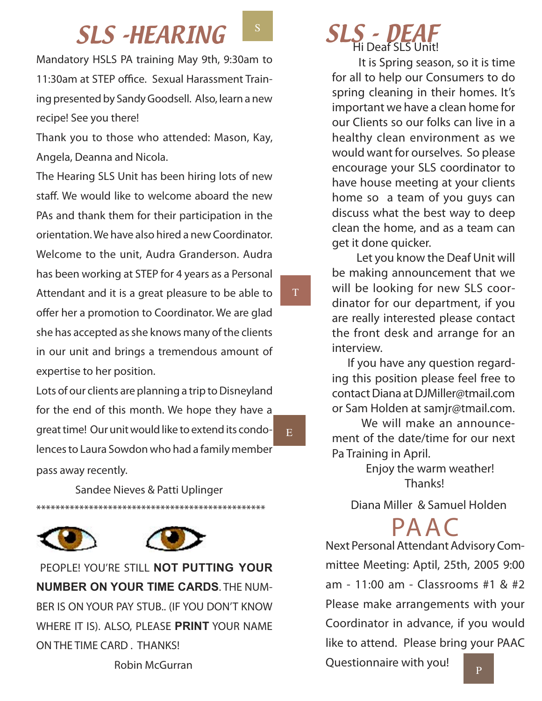## SLS - HEARING S

*Mandatory HSLS PA training May 9th, 9:30am to 11:30am at STEP office. Sexual Harassment Training presented by Sandy Goodsell. Also, learn a new recipe! See you there!*

*Thank you to those who attended: Mason, Kay, Angela, Deanna and Nicola.*

*The Hearing SLS Unit has been hiring lots of new staff. We would like to welcome aboard the new PAs and thank them for their participation in the orientation. We have also hired a new Coordinator. Welcome to the unit, Audra Granderson. Audra has been working at STEP for 4 years as a Personal Attendant and it is a great pleasure to be able to offer her a promotion to Coordinator. We are glad she has accepted as she knows many of the clients in our unit and brings a tremendous amount of expertise to her position.* 

*Lots of our clients are planning a trip to Disneyland for the end of this month. We hope they have a great time! Our unit would like to extend its condolences to Laura Sowdon who had a family member pass away recently.* 

 *Sandee Nieves & Patti Uplinger \*\*\*\*\*\*\*\*\*\*\*\*\*\*\*\*\*\*\*\*\*\*\*\*\*\*\*\*\*\*\*\*\*\*\*\*\*\*\*\*\*\*\*\*\*\*\*\**





E

T

 *PEOPLE! YOU'RE STILL* **NOT PUTTING YOUR NUMBER ON YOUR TIME CARDS***. THE NUM-BER IS ON YOUR PAY STUB.. (IF YOU DON'T KNOW WHERE IT IS). ALSO, PLEASE* **PRINT** *YOUR NAME ON THE TIME CARD . THANKS!*

 *Robin McGurran*

 **It is Spring season, so it is time for all to help our Consumers to do spring cleaning in their homes. It's important we have a clean home for our Clients so our folks can live in a healthy clean environment as we would want for ourselves. So please encourage your SLS coordinator to have house meeting at your clients home so a team of you guys can discuss what the best way to deep clean the home, and as a team can get it done quicker.**

 **Let you know the Deaf Unit will be making announcement that we will be looking for new SLS coordinator for our department, if you are really interested please contact the front desk and arrange for an interview.** 

**If you have any question regarding this position please feel free to contact Diana at DJMiller@tmail.com or Sam Holden at samjr@tmail.com.**

 **We will make an announcement of the date/time for our next Pa Training in April.**

> **Enjoy the warm weather! Thanks!**

 *Diana Miller & Samuel Holden*

PA AC

*Next Personal Attendant Advisory Committee Meeting: Aptil, 25th, 2005 9:00 am - 11:00 am - Classrooms #1 & #2 Please make arrangements with your Coordinator in advance, if you would like to attend. Please bring your PAAC* 

*Questionnaire with you!*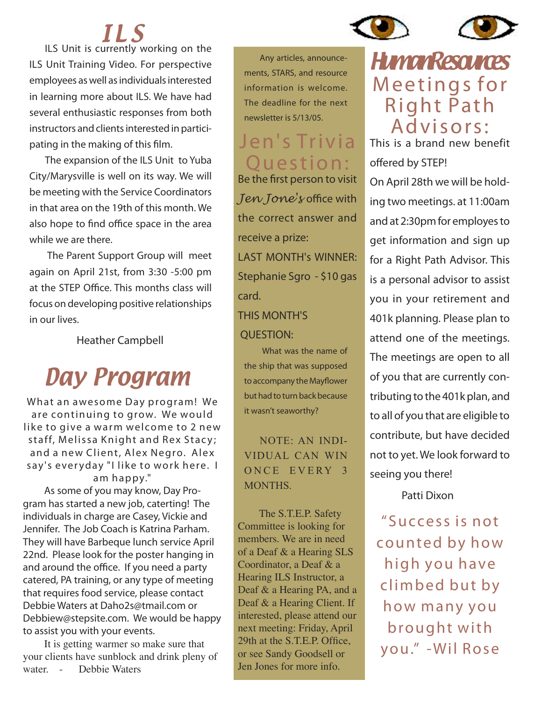

# I L S

**ILS Unit is currently working on the ILS Unit Training Video. For perspective employees as well as individuals interested in learning more about ILS. We have had several enthusiastic responses from both instructors and clients interested in participating in the making of this film.**

**The expansion of the ILS Unit to Yuba City/Marysville is well on its way. We will be meeting with the Service Coordinators in that area on the 19th of this month. We also hope to find office space in the area while we are there.**

 **The Parent Support Group will meet again on April 21st, from 3:30 -5:00 pm at the STEP Office. This months class will focus on developing positive relationships in our lives.**

 *Heather Campbell*

# Day Program

What an awesome Day program! We are continuing to grow. We would like to give a warm welcome to 2 new staff, Melissa Knight and Rex Stacy; and a new Client, Alex Negro. Alex say's everyday "I like to work here. I am happy."

As some of you may know, Day Program has started a new job, caterting! The individuals in charge are Casey, Vickie and Jennifer. The Job Coach is Katrina Parham. They will have Barbeque lunch *service April 22nd. Please look for the poster hanging in and around the office. If you need a party catered, PA training, or any type of meeting that requires food service, please contact Debbie Waters at Daho2s@tmail.com or Debbiew@stepsite.com. We would be happy to assist you with your events.*

It is getting warmer so make sure that your clients have sunblock and drink pleny of water. - Debbie Waters

**Any articles, announcements, STARS, and resource information is welcome. The deadline for the next newsletter is 5/13/05.**

# Jen's Trivia Question:

*Be the first person to visit Jen Jone's office with the correct answer and receive a prize: LAST MONTH's WINNER: Stephanie Sgro - \$10 gas card.*

## *THIS MONTH'S QUESTION:*

 What was the name of the ship that was supposed to accompany the Mayflower but had to turn back because it wasn't seaworthy?

NOTE: AN INDI-VIDUAL CAN WIN ONCE EVERY 3 MONTHS

The S.T.E.P. Safety Committee is looking for members. We are in need of a Deaf & a Hearing SLS Coordinator, a Deaf & a Hearing ILS Instructor, a Deaf & a Hearing PA, and a Deaf & a Hearing Client. If interested, please attend our next meeting: Friday, April 29th at the S.T.E.P. Office, or see Sandy Goodsell or Jen Jones for more info.

# **HumanResources** Meetings for **Right Path** Advisors:

*This is a brand new benefit offered by STEP! On April 28th we will be holding two meetings. at 11:00am and at 2:30pm for employes to get information and sign up for a Right Path Advisor. This is a personal advisor to assist you in your retirement and 401k planning. Please plan to attend one of the meetings. The meetings are open to all of you that are currently contributing to the 401k plan, and to all of you that are eligible to contribute, but have decided not to yet. We look forward to seeing you there!*

 *Patti Dixon*

" Success is not counted by how high you have climbed but by how many you brought with you." - Wil Rose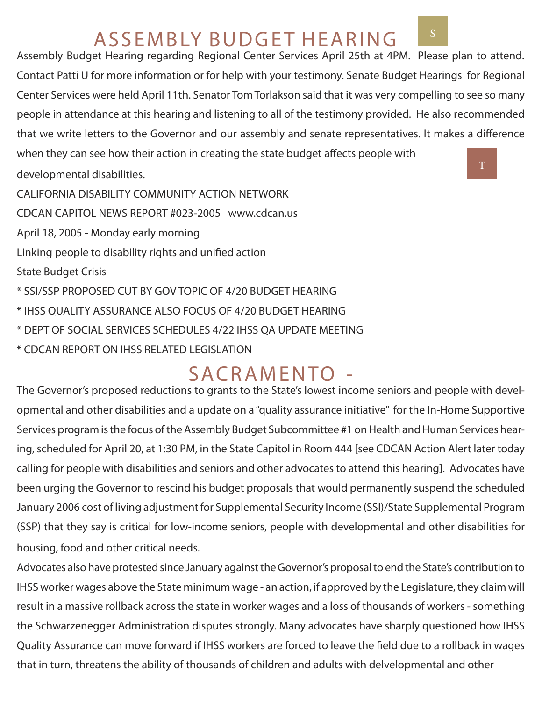# A S S E M B LY BUDGET HEARING

*Assembly Budget Hearing regarding Regional Center Services April 25th at 4PM. Please plan to attend. Contact Patti U for more information or for help with your testimony. Senate Budget Hearings for Regional Center Services were held April 11th. Senator Tom Torlakson said that it was very compelling to see so many people in attendance at this hearing and listening to all of the testimony provided. He also recommended that we write letters to the Governor and our assembly and senate representatives. It makes a difference when they can see how their action in creating the state budget affects people with*

*developmental disabilities.* 

<sup>T</sup>

*CALIFORNIA DISABILITY COMMUNITY ACTION NETWORK CDCAN CAPITOL NEWS REPORT #023-2005 www.cdcan.us April 18, 2005 - Monday early morning Linking people to disability rights and unified action State Budget Crisis \* SSI/SSP PROPOSED CUT BY GOV TOPIC OF 4/20 BUDGET HEARING \* IHSS QUALITY ASSURANCE ALSO FOCUS OF 4/20 BUDGET HEARING \* DEPT OF SOCIAL SERVICES SCHEDULES 4/22 IHSS QA UPDATE MEETING \* CDCAN REPORT ON IHSS RELATED LEGISLATION* 

# SACRAMENTO -

*The Governor's proposed reductions to grants to the State's lowest income seniors and people with developmental and other disabilities and a update on a "quality assurance initiative" for the In-Home Supportive Services program is the focus of the Assembly Budget Subcommittee #1 on Health and Human Services hearing, scheduled for April 20, at 1:30 PM, in the State Capitol in Room 444 [see CDCAN Action Alert later today calling for people with disabilities and seniors and other advocates to attend this hearing]. Advocates have been urging the Governor to rescind his budget proposals that would permanently suspend the scheduled January 2006 cost of living adjustment for Supplemental Security Income (SSI)/State Supplemental Program (SSP) that they say is critical for low-income seniors, people with developmental and other disabilities for housing, food and other critical needs.* 

*Advocates also have protested since January against the Governor's proposal to end the State's contribution to IHSS worker wages above the State minimum wage - an action, if approved by the Legislature, they claim will* result in a massive rollback across the state in worker wages and a loss of thousands of workers - something *the Schwarzenegger Administration disputes strongly. Many advocates have sharply questioned how IHSS Quality Assurance can move forward if IHSS workers are forced to leave the field due to a rollback in wages that in turn, threatens the ability of thousands of children and adults with delvelopmental and other*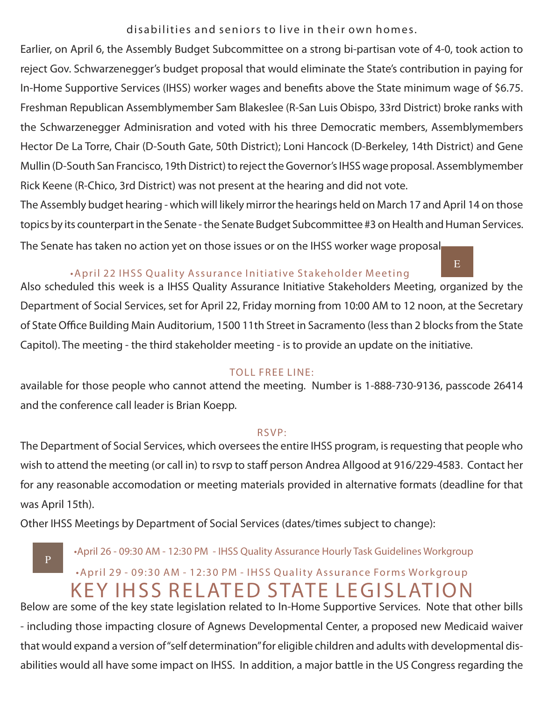disabilities and seniors to live in their own homes.

*Earlier, on April 6, the Assembly Budget Subcommittee on a strong bi-partisan vote of 4-0, took action to reject Gov. Schwarzenegger's budget proposal that would eliminate the State's contribution in paying for In-Home Supportive Services (IHSS) worker wages and benefits above the State minimum wage of \$6.75. Freshman Republican Assemblymember Sam Blakeslee (R-San Luis Obispo, 33rd District) broke ranks with the Schwarzenegger Adminisration and voted with his three Democratic members, Assemblymembers Hector De La Torre, Chair (D-South Gate, 50th District); Loni Hancock (D-Berkeley, 14th District) and Gene Mullin (D-South San Francisco, 19th District) to reject the Governor's IHSS wage proposal. Assemblymember Rick Keene (R-Chico, 3rd District) was not present at the hearing and did not vote.* 

*The Assembly budget hearing - which will likely mirror the hearings held on March 17 and April 14 on those topics by its counterpart in the Senate - the Senate Budget Subcommittee #3 on Health and Human Services. The Senate has taken no action yet on those issues or on the IHSS worker wage proposal.* 

E

### • April 22 IHSS Quality Assurance Initiative Stakeholder Meeting

*Also scheduled this week is a IHSS Quality Assurance Initiative Stakeholders Meeting, organized by the Department of Social Services, set for April 22, Friday morning from 10:00 AM to 12 noon, at the Secretary of State Office Building Main Auditorium, 1500 11th Street in Sacramento (less than 2 blocks from the State Capitol). The meeting - the third stakeholder meeting - is to provide an update on the initiative.* 

#### TOLL FREE LINE:

*available for those people who cannot attend the meeting. Number is 1-888-730-9136, passcode 26414 and the conference call leader is Brian Koepp.* 

#### R S V P:

*The Department of Social Services, which oversees the entire IHSS program, is requesting that people who*  wish to attend the meeting (or call in) to rsvp to staff person Andrea Allgood at 916/229-4583. Contact her *for any reasonable accomodation or meeting materials provided in alternative formats (deadline for that was April 15th).* 

*Other IHSS Meetings by Department of Social Services (dates/times subject to change):* 

P

•April 26 - 09:30 AM - 12:30 PM - IHSS Quality Assurance Hourly Task Guidelines Workgroup

## • April 29 - 09:30 AM - 12:30 PM - IHSS Quality Assurance Forms Workgroup KEY IHSS RELATED STATE LEGISLATION

*Below are some of the key state legislation related to In-Home Supportive Services. Note that other bills - including those impacting closure of Agnews Developmental Center, a proposed new Medicaid waiver that would expand a version of "self determination" for eligible children and adults with developmental disabilities would all have some impact on IHSS. In addition, a major battle in the US Congress regarding the*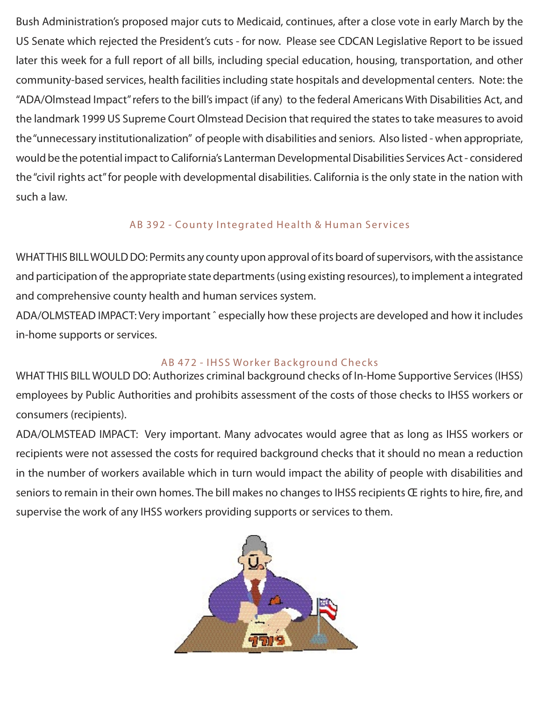*Bush Administration's proposed major cuts to Medicaid, continues, after a close vote in early March by the US Senate which rejected the President's cuts - for now. Please see CDCAN Legislative Report to be issued*  later this week for a full report of all bills, including special education, housing, transportation, and other *community-based services, health facilities including state hospitals and developmental centers. Note: the "ADA/Olmstead Impact" refers to the bill's impact (if any) to the federal Americans With Disabilities Act, and the landmark 1999 US Supreme Court Olmstead Decision that required the states to take measures to avoid the "unnecessary institutionalization" of people with disabilities and seniors. Also listed - when appropriate, would be the potential impact to California's Lanterman Developmental Disabilities Services Act - considered the "civil rights act" for people with developmental disabilities. California is the only state in the nation with such a law.* 

## AB 392 - County Integrated Health & Human Services

*WHAT THIS BILL WOULD DO: Permits any county upon approval of its board of supervisors, with the assistance and participation of the appropriate state departments (using existing resources), to implement a integrated and comprehensive county health and human services system.* 

*ADA/OLMSTEAD IMPACT: Very important ˆ especially how these projects are developed and how it includes in-home supports or services.* 

## AB 472 - IHSS Worker Background Checks

*WHAT THIS BILL WOULD DO: Authorizes criminal background checks of In-Home Supportive Services (IHSS) employees by Public Authorities and prohibits assessment of the costs of those checks to IHSS workers or consumers (recipients).* 

*ADA/OLMSTEAD IMPACT: Very important. Many advocates would agree that as long as IHSS workers or*  recipients were not assessed the costs for required background checks that it should no mean a reduction *in the number of workers available which in turn would impact the ability of people with disabilities and seniors to remain in their own homes. The bill makes no changes to IHSS recipients Œ rights to hire, fire, and supervise the work of any IHSS workers providing supports or services to them.*